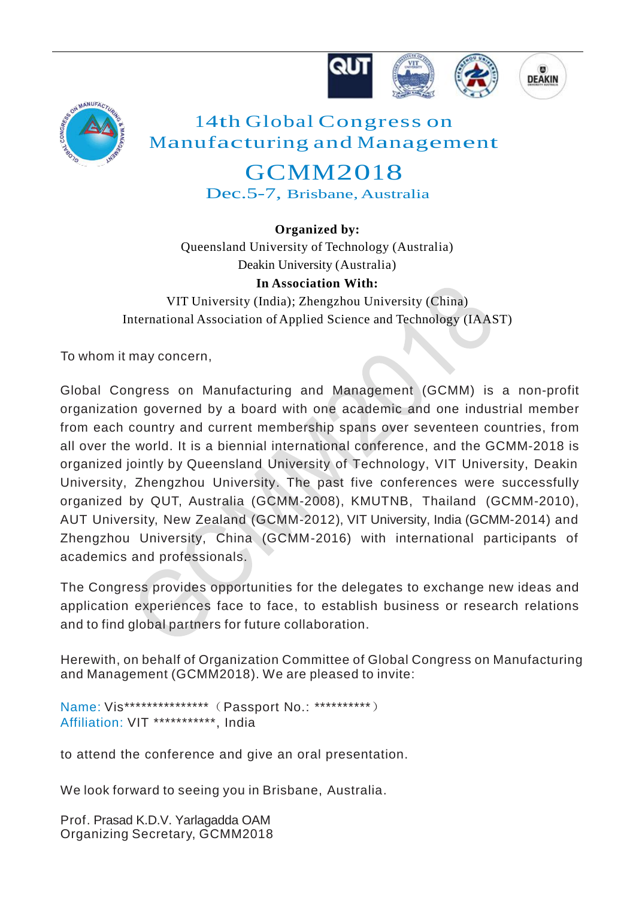



## 14th Global Congress on Manufacturing and Management

## GCMM2018 Dec.5-7, Brisbane, Australia

**Organized by:** Queensland University of Technology (Australia) Deakin University (Australia)

**In Association With:** VIT University (India); Zhengzhou University (China) International Association of Applied Science and Technology (IAAST)

To whom it may concern,

Global Congress on Manufacturing and Management (GCMM) is a non-profit organization governed by a board with one academic and one industrial member from each country and current membership spans over seventeen countries, from all over the world. It is a biennial international conference, and the GCMM-2018 is organized jointly by Queensland University of Technology, VIT University, Deakin University, Zhengzhou University. The past five conferences were successfully organized by QUT, Australia (GCMM-2008), KMUTNB, Thailand (GCMM-2010), AUT University, New Zealand (GCMM-2012), VIT University, India (GCMM-2014) and Zhengzhou University, China (GCMM-2016) with international participants of academics and professionals.

The Congress provides opportunities for the delegates to exchange new ideas and application experiences face to face, to establish business or research relations and to find global partners for future collaboration.

Herewith, on behalf of Organization Committee of Global Congress on Manufacturing and Management (GCMM2018). We are pleased to invite:

Name: Vis\*\*\*\*\*\*\*\*\*\*\*\*\*\*\*(Passport No.: \*\*\*\*\*\*\*\*\*\*) Affiliation: VIT \*\*\*\*\*\*\*\*\*\*\*\*, India

to attend the conference and give an oral presentation.

We look forward to seeing you in Brisbane, Australia.

Prof. Prasad K.D.V. Yarlagadda OAM Organizing Secretary, GCMM2018